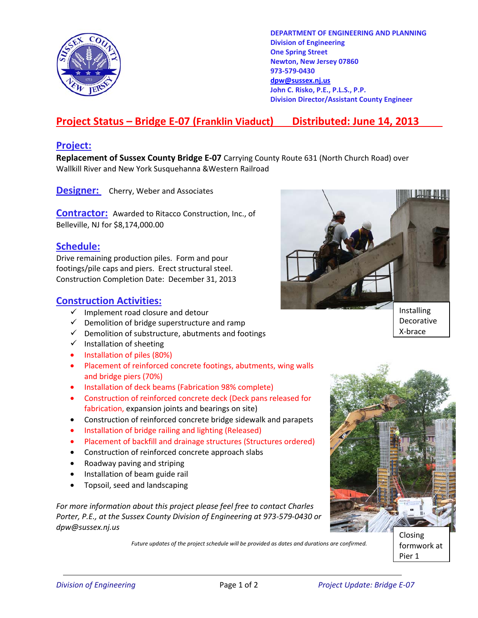

**DEPARTMENT OF ENGINEERING AND PLANNING Division of Engineering One Spring Street Newton, New Jersey 07860 973-579-0430 dpw@sussex.nj.us John C. Risko, P.E., P.L.S., P.P. Division Director/Assistant County Engineer** 

# **Project Status – Bridge E-07 (Franklin Viaduct) Distributed: June 14, 2013**

#### **Project:**

**Replacement of Sussex County Bridge E-07** Carrying County Route 631 (North Church Road) over Wallkill River and New York Susquehanna &Western Railroad

**Designer:** Cherry, Weber and Associates

**Contractor:** Awarded to Ritacco Construction, Inc., of Belleville, NJ for \$8,174,000.00

#### **Schedule:**

Drive remaining production piles. Form and pour footings/pile caps and piers. Erect structural steel. Construction Completion Date: December 31, 2013

### **Construction Activities:**

- $\checkmark$  Implement road closure and detour
- $\checkmark$  Demolition of bridge superstructure and ramp
- $\checkmark$  Demolition of substructure, abutments and footings
- $\checkmark$  Installation of sheeting
- Installation of piles (80%)
- Placement of reinforced concrete footings, abutments, wing walls and bridge piers (70%)
- Installation of deck beams (Fabrication 98% complete)
- Construction of reinforced concrete deck (Deck pans released for fabrication, expansion joints and bearings on site)
- Construction of reinforced concrete bridge sidewalk and parapets
- Installation of bridge railing and lighting (Released)
- Placement of backfill and drainage structures (Structures ordered)
- Construction of reinforced concrete approach slabs
- Roadway paving and striping
- Installation of beam guide rail
- Topsoil, seed and landscaping

*For more information about this project please feel free to contact Charles Porter, P.E., at the Sussex County Division of Engineering at 973-579-0430 or dpw@sussex.nj.us* 

*Future updates of the project schedule will be provided as dates and durations are confirmed.* 





Pier 1